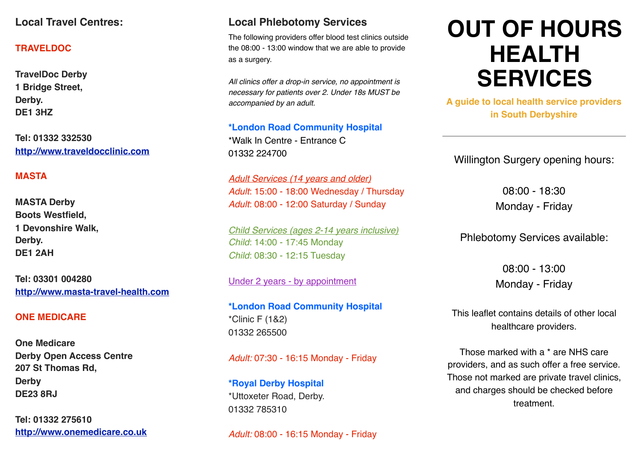## **Local Travel Centres:**

#### **TRAVELDOC**

**TravelDoc Derby 1 Bridge Street, Derby. DE1 3HZ**

**Tel: 01332 332530 <http://www.traveldocclinic.com>**

### **MASTA**

**MASTA Derby Boots Westfield, 1 Devonshire Walk, Derby. DE1 2AH**

**Tel: 03301 004280 <http://www.masta-travel-health.com>**

#### **ONE MEDICARE**

**One Medicare Derby Open Access Centre 207 St Thomas Rd, Derby DE23 8RJ**

**Tel: 01332 275610 <http://www.onemedicare.co.uk>**

## **Local Phlebotomy Services**

The following providers offer blood test clinics outside the 08:00 - 13:00 window that we are able to provide as a surgery.

*All clinics offer a drop-in service, no appointment is necessary for patients over 2. Under 18s MUST be accompanied by an adult.* 

**\*London Road Community Hospital** \*Walk In Centre - Entrance C 01332 224700

*Adult Services (14 years and older) Adult*: 15:00 - 18:00 Wednesday / Thursday *Adult*: 08:00 - 12:00 Saturday / Sunday

*Child Services (ages 2-14 years inclusive) Child*: 14:00 - 17:45 Monday *Child*: 08:30 - 12:15 Tuesday

Under 2 years - by appointment

**\*London Road Community Hospital** \*Clinic F (1&2) 01332 265500

*Adult:* 07:30 - 16:15 Monday - Friday

**\*Royal Derby Hospital** \*Uttoxeter Road, Derby. 01332 785310

*Adult:* 08:00 - 16:15 Monday - Friday

# **OUT OF HOURS HEALTH SERVICES**

**A guide to local health service providers in South Derbyshire**

Willington Surgery opening hours:

08:00 - 18:30 Monday - Friday

Phlebotomy Services available:

08:00 - 13:00 Monday - Friday

This leaflet contains details of other local healthcare providers.

Those marked with a \* are NHS care providers, and as such offer a free service. Those not marked are private travel clinics, and charges should be checked before treatment.